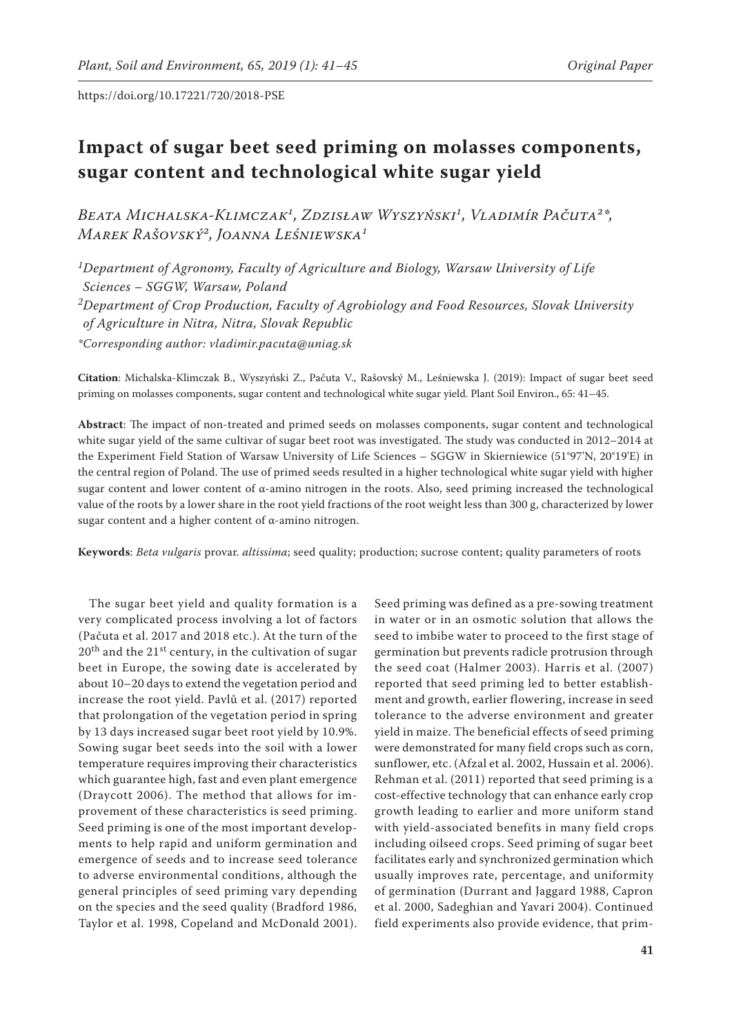# **Impact of sugar beet seed priming on molasses components, sugar content and technological white sugar yield**

BEATA MICHALSKA-KLIMCZAK<sup>1</sup>, ZDZISŁAW WYSZYŃSKI<sup>1</sup>, VLADIMÍR PAČUTA<sup>2\*</sup>, *Marek Rašovský2, Joanna Leśniewska1*

*1Department of Agronomy, Faculty of Agriculture and Biology, Warsaw University of Life Sciences – SGGW, Warsaw, Poland 2Department of Crop Production, Faculty of Agrobiology and Food Resources, Slovak University of Agriculture in Nitra, Nitra, Slovak Republic \*Corresponding author: vladimir.pacuta@uniag.sk*

**Citation**: Michalska-Klimczak B., Wyszyński Z., Pačuta V., Rašovský M., Leśniewska J. (2019): Impact of sugar beet seed priming on molasses components, sugar content and technological white sugar yield. Plant Soil Environ., 65: 41–45.

**Abstract**: The impact of non-treated and primed seeds on molasses components, sugar content and technological white sugar yield of the same cultivar of sugar beet root was investigated. The study was conducted in 2012–2014 at the Experiment Field Station of Warsaw University of Life Sciences – SGGW in Skierniewice (51°97'N, 20°19'E) in the central region of Poland. The use of primed seeds resulted in a higher technological white sugar yield with higher sugar content and lower content of  $\alpha$ -amino nitrogen in the roots. Also, seed priming increased the technological value of the roots by a lower share in the root yield fractions of the root weight less than 300 g, characterized by lower sugar content and a higher content of α-amino nitrogen.

**Keywords**: *Beta vulgaris* provar. *altissima*; seed quality; production; sucrose content; quality parameters of roots

The sugar beet yield and quality formation is a very complicated process involving a lot of factors (Pačuta et al. 2017 and 2018 etc.). At the turn of the  $20<sup>th</sup>$  and the  $21<sup>st</sup>$  century, in the cultivation of sugar beet in Europe, the sowing date is accelerated by about 10–20 days to extend the vegetation period and increase the root yield. Pavlů et al. (2017) reported that prolongation of the vegetation period in spring by 13 days increased sugar beet root yield by 10.9%. Sowing sugar beet seeds into the soil with a lower temperature requires improving their characteristics which guarantee high, fast and even plant emergence (Draycott 2006). The method that allows for improvement of these characteristics is seed priming. Seed priming is one of the most important developments to help rapid and uniform germination and emergence of seeds and to increase seed tolerance to adverse environmental conditions, although the general principles of seed priming vary depending on the species and the seed quality (Bradford 1986, Taylor et al. 1998, Copeland and McDonald 2001).

Seed priming was defined as a pre-sowing treatment in water or in an osmotic solution that allows the seed to imbibe water to proceed to the first stage of germination but prevents radicle protrusion through the seed coat (Halmer 2003). Harris et al. (2007) reported that seed priming led to better establishment and growth, earlier flowering, increase in seed tolerance to the adverse environment and greater yield in maize. The beneficial effects of seed priming were demonstrated for many field crops such as corn, sunflower, etc. (Afzal et al. 2002, Hussain et al. 2006). Rehman et al. (2011) reported that seed priming is a cost-effective technology that can enhance early crop growth leading to earlier and more uniform stand with yield-associated benefits in many field crops including oilseed crops. Seed priming of sugar beet facilitates early and synchronized germination which usually improves rate, percentage, and uniformity of germination (Durrant and Jaggard 1988, Capron et al. 2000, Sadeghian and Yavari 2004). Continued field experiments also provide evidence, that prim-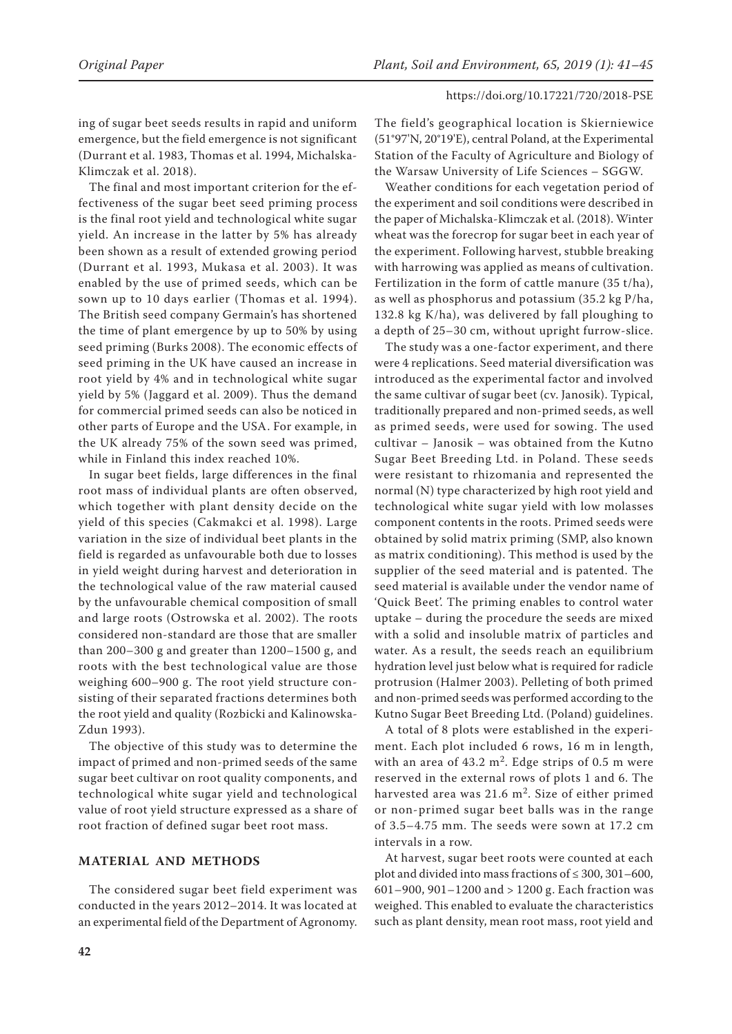ing of sugar beet seeds results in rapid and uniform emergence, but the field emergence is not significant (Durrant et al. 1983, Thomas et al. 1994, Michalska-Klimczak et al. 2018).

The final and most important criterion for the effectiveness of the sugar beet seed priming process is the final root yield and technological white sugar yield. An increase in the latter by 5% has already been shown as a result of extended growing period (Durrant et al. 1993, Mukasa et al. 2003). It was enabled by the use of primed seeds, which can be sown up to 10 days earlier (Thomas et al. 1994). The British seed company Germain's has shortened the time of plant emergence by up to 50% by using seed priming (Burks 2008). The economic effects of seed priming in the UK have caused an increase in root yield by 4% and in technological white sugar yield by 5% (Jaggard et al. 2009). Thus the demand for commercial primed seeds can also be noticed in other parts of Europe and the USA. For example, in the UK already 75% of the sown seed was primed, while in Finland this index reached 10%.

In sugar beet fields, large differences in the final root mass of individual plants are often observed, which together with plant density decide on the yield of this species (Cakmakci et al. 1998). Large variation in the size of individual beet plants in the field is regarded as unfavourable both due to losses in yield weight during harvest and deterioration in the technological value of the raw material caused by the unfavourable chemical composition of small and large roots (Ostrowska et al. 2002). The roots considered non-standard are those that are smaller than 200–300 g and greater than 1200–1500 g, and roots with the best technological value are those weighing 600–900 g. The root yield structure consisting of their separated fractions determines both the root yield and quality (Rozbicki and Kalinowska-Zdun 1993).

The objective of this study was to determine the impact of primed and non-primed seeds of the same sugar beet cultivar on root quality components, and technological white sugar yield and technological value of root yield structure expressed as a share of root fraction of defined sugar beet root mass.

## **MATERIAL AND METHODS**

The considered sugar beet field experiment was conducted in the years 2012–2014. It was located at an experimental field of the Department of Agronomy. The field's geographical location is Skierniewice (51°97'N, 20°19'E), central Poland, at the Experimental Station of the Faculty of Agriculture and Biology of the Warsaw University of Life Sciences – SGGW.

Weather conditions for each vegetation period of the experiment and soil conditions were described in the paper of Michalska-Klimczak et al. (2018). Winter wheat was the forecrop for sugar beet in each year of the experiment. Following harvest, stubble breaking with harrowing was applied as means of cultivation. Fertilization in the form of cattle manure (35 t/ha), as well as phosphorus and potassium (35.2 kg P/ha, 132.8 kg K/ha), was delivered by fall ploughing to a depth of 25–30 cm, without upright furrow-slice.

The study was a one-factor experiment, and there were 4 replications. Seed material diversification was introduced as the experimental factor and involved the same cultivar of sugar beet (cv. Janosik). Typical, traditionally prepared and non-primed seeds, as well as primed seeds, were used for sowing. The used cultivar – Janosik – was obtained from the Kutno Sugar Beet Breeding Ltd. in Poland. These seeds were resistant to rhizomania and represented the normal (N) type characterized by high root yield and technological white sugar yield with low molasses component contents in the roots. Primed seeds were obtained by solid matrix priming (SMP, also known as matrix conditioning). This method is used by the supplier of the seed material and is patented. The seed material is available under the vendor name of 'Quick Beet'. The priming enables to control water uptake – during the procedure the seeds are mixed with a solid and insoluble matrix of particles and water. As a result, the seeds reach an equilibrium hydration level just below what is required for radicle protrusion (Halmer 2003). Pelleting of both primed and non-primed seeds was performed according to the Kutno Sugar Beet Breeding Ltd. (Poland) guidelines.

A total of 8 plots were established in the experiment. Each plot included 6 rows, 16 m in length, with an area of  $43.2 \text{ m}^2$ . Edge strips of 0.5 m were reserved in the external rows of plots 1 and 6. The harvested area was 21.6  $m^2$ . Size of either primed or non-primed sugar beet balls was in the range of 3.5–4.75 mm. The seeds were sown at 17.2 cm intervals in a row.

At harvest, sugar beet roots were counted at each plot and divided into mass fractions of  $\leq 300, 301-600$ , 601–900, 901–1200 and > 1200 g. Each fraction was weighed. This enabled to evaluate the characteristics such as plant density, mean root mass, root yield and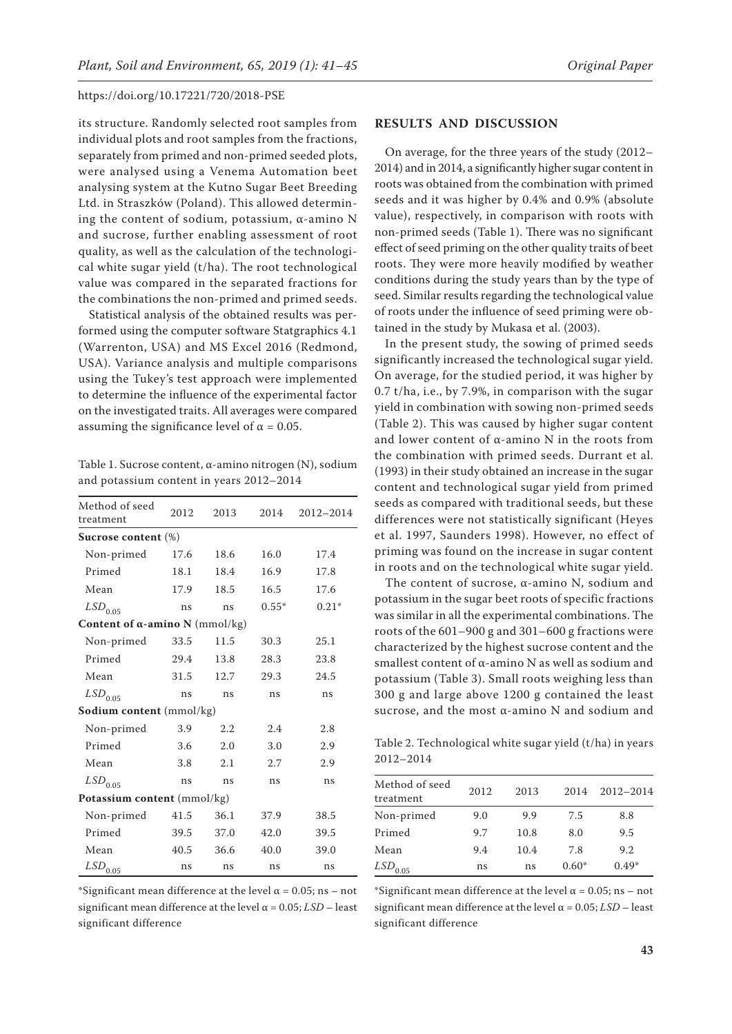its structure. Randomly selected root samples from individual plots and root samples from the fractions, separately from primed and non-primed seeded plots, were analysed using a Venema Automation beet analysing system at the Kutno Sugar Beet Breeding Ltd. in Straszków (Poland). This allowed determining the content of sodium, potassium, α-amino N and sucrose, further enabling assessment of root quality, as well as the calculation of the technological white sugar yield (t/ha). The root technological value was compared in the separated fractions for the combinations the non-primed and primed seeds.

Statistical analysis of the obtained results was performed using the computer software Statgraphics 4.1 (Warrenton, USA) and MS Excel 2016 (Redmond, USA). Variance analysis and multiple comparisons using the Tukey's test approach were implemented to determine the influence of the experimental factor on the investigated traits. All averages were compared assuming the significance level of  $\alpha$  = 0.05.

Table 1. Sucrose content, α-amino nitrogen (N), sodium and potassium content in years 2012–2014

| Method of seed<br>treatment            | 2012 | 2013          | 2014 | 2012-2014 |  |  |  |  |
|----------------------------------------|------|---------------|------|-----------|--|--|--|--|
| Sucrose content (%)                    |      |               |      |           |  |  |  |  |
| Non-primed                             | 17.6 | 18.6          | 16.0 | 17.4      |  |  |  |  |
| Primed                                 | 18.1 | 18.4          | 16.9 | 17.8      |  |  |  |  |
| Mean                                   | 17.9 | 16.5<br>18.5  |      | 17.6      |  |  |  |  |
| $LSD$ <sub>0.05</sub>                  | ns   | $0.55*$<br>ns |      | $0.21*$   |  |  |  |  |
| Content of $\alpha$ -amino N (mmol/kg) |      |               |      |           |  |  |  |  |
| Non-primed                             | 33.5 | 11.5          | 30.3 | 25.1      |  |  |  |  |
| Primed                                 | 29.4 | 13.8          | 28.3 | 23.8      |  |  |  |  |
| Mean                                   | 31.5 | 12.7          | 29.3 | 24.5      |  |  |  |  |
| $LSD$ <sub>0.05</sub>                  | ns   | ns            | ns   | ns        |  |  |  |  |
| <b>Sodium content</b> (mmol/kg)        |      |               |      |           |  |  |  |  |
| Non-primed                             | 3.9  | 2.2           | 2.4  | 2.8       |  |  |  |  |
| Primed                                 | 3.6  | 2.0           | 3.0  | 2.9       |  |  |  |  |
| Mean                                   | 3.8  | 2.1           | 2.7  | 2.9       |  |  |  |  |
| $LSD_{0.05}$                           | ns   | ns            | ns   | ns        |  |  |  |  |
| Potassium content (mmol/kg)            |      |               |      |           |  |  |  |  |
| Non-primed                             | 41.5 | 36.1          | 37.9 | 38.5      |  |  |  |  |
| Primed                                 | 39.5 | 37.0          | 42.0 | 39.5      |  |  |  |  |
| Mean                                   | 40.5 | 36.6          | 40.0 | 39.0      |  |  |  |  |
| $LSD$ <sub>0.05</sub>                  | ns   | ns            | ns   | ns        |  |  |  |  |

\*Significant mean difference at the level  $\alpha$  = 0.05; ns – not significant mean difference at the level  $\alpha$  = 0.05; *LSD* – least significant difference

#### **RESULTS AND DISCUSSION**

On average, for the three years of the study (2012– 2014) and in 2014, a significantly higher sugar content in roots was obtained from the combination with primed seeds and it was higher by 0.4% and 0.9% (absolute value), respectively, in comparison with roots with non-primed seeds (Table 1). There was no significant effect of seed priming on the other quality traits of beet roots. They were more heavily modified by weather conditions during the study years than by the type of seed. Similar results regarding the technological value of roots under the influence of seed priming were obtained in the study by Mukasa et al. (2003).

In the present study, the sowing of primed seeds significantly increased the technological sugar yield. On average, for the studied period, it was higher by 0.7 t/ha, i.e., by 7.9%, in comparison with the sugar yield in combination with sowing non-primed seeds (Table 2). This was caused by higher sugar content and lower content of α-amino N in the roots from the combination with primed seeds. Durrant et al. (1993) in their study obtained an increase in the sugar content and technological sugar yield from primed seeds as compared with traditional seeds, but these differences were not statistically significant (Heyes et al. 1997, Saunders 1998). However, no effect of priming was found on the increase in sugar content in roots and on the technological white sugar yield.

The content of sucrose, α-amino N, sodium and potassium in the sugar beet roots of specific fractions was similar in all the experimental combinations. The roots of the 601–900 g and 301–600 g fractions were characterized by the highest sucrose content and the smallest content of  $\alpha$ -amino N as well as sodium and potassium (Table 3). Small roots weighing less than 300 g and large above 1200 g contained the least sucrose, and the most α-amino N and sodium and

Table 2. Technological white sugar yield (t/ha) in years 2012–2014

| Method of seed<br>treatment | 2012 | 2013 | 2014    | 2012-2014 |  |
|-----------------------------|------|------|---------|-----------|--|
| Non-primed                  | 9.0  | 9.9  | 7.5     | 8.8       |  |
| Primed                      | 9.7  | 10.8 | 8.0     | 9.5       |  |
| Mean                        | 9.4  | 10.4 | 7.8     | 9.2       |  |
| $LSD$ <sub>0.05</sub>       | ns   | ns   | $0.60*$ | $0.49*$   |  |

\*Significant mean difference at the level  $\alpha$  = 0.05; ns – not significant mean difference at the level  $\alpha$  = 0.05;  $LSD$  – least significant difference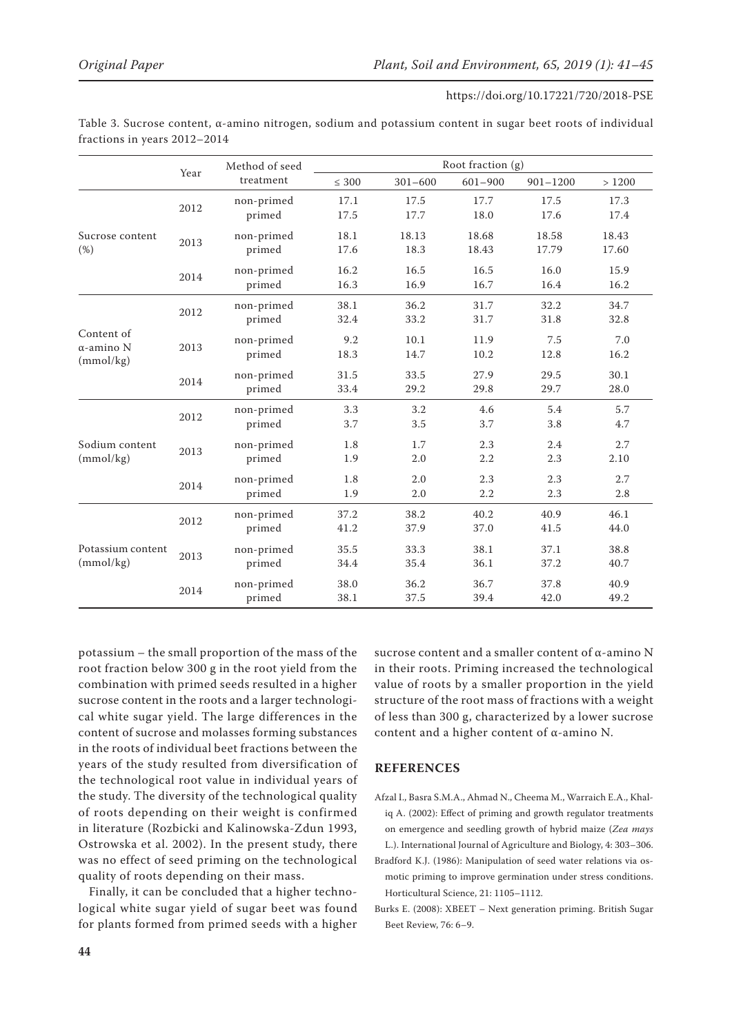|                                              | Year | Method of seed<br>treatment | Root fraction $(g)$ |               |                |                |                |
|----------------------------------------------|------|-----------------------------|---------------------|---------------|----------------|----------------|----------------|
|                                              |      |                             | $\leq 300$          | $301 - 600$   | $601 - 900$    | $901 - 1200$   | >1200          |
|                                              | 2012 | non-primed<br>primed        | 17.1<br>17.5        | 17.5<br>17.7  | 17.7<br>18.0   | 17.5<br>17.6   | 17.3<br>17.4   |
| Sucrose content<br>(%)                       | 2013 | non-primed<br>primed        | 18.1<br>17.6        | 18.13<br>18.3 | 18.68<br>18.43 | 18.58<br>17.79 | 18.43<br>17.60 |
|                                              | 2014 | non-primed<br>primed        | 16.2<br>16.3        | 16.5<br>16.9  | 16.5<br>16.7   | 16.0<br>16.4   | 15.9<br>16.2   |
| Content of<br>$\alpha$ -amino N<br>(mmol/kg) | 2012 | non-primed<br>primed        | 38.1<br>32.4        | 36.2<br>33.2  | 31.7<br>31.7   | 32.2<br>31.8   | 34.7<br>32.8   |
|                                              | 2013 | non-primed<br>primed        | 9.2<br>18.3         | 10.1<br>14.7  | 11.9<br>10.2   | 7.5<br>12.8    | 7.0<br>16.2    |
|                                              | 2014 | non-primed<br>primed        | 31.5<br>33.4        | 33.5<br>29.2  | 27.9<br>29.8   | 29.5<br>29.7   | 30.1<br>28.0   |
| Sodium content<br>(mmol/kg)                  | 2012 | non-primed<br>primed        | 3.3<br>3.7          | 3.2<br>3.5    | 4.6<br>3.7     | 5.4<br>3.8     | 5.7<br>4.7     |
|                                              | 2013 | non-primed<br>primed        | 1.8<br>1.9          | 1.7<br>2.0    | 2.3<br>2.2     | 2.4<br>2.3     | 2.7<br>2.10    |
|                                              | 2014 | non-primed<br>primed        | 1.8<br>1.9          | 2.0<br>2.0    | 2.3<br>2.2     | 2.3<br>2.3     | 2.7<br>2.8     |
| Potassium content<br>(mmol/kg)               | 2012 | non-primed<br>primed        | 37.2<br>41.2        | 38.2<br>37.9  | 40.2<br>37.0   | 40.9<br>41.5   | 46.1<br>44.0   |
|                                              | 2013 | non-primed<br>primed        | 35.5<br>34.4        | 33.3<br>35.4  | 38.1<br>36.1   | 37.1<br>37.2   | 38.8<br>40.7   |
|                                              | 2014 | non-primed<br>primed        | 38.0<br>38.1        | 36.2<br>37.5  | 36.7<br>39.4   | 37.8<br>42.0   | 40.9<br>49.2   |

Table 3. Sucrose content, α-amino nitrogen, sodium and potassium content in sugar beet roots of individual fractions in years 2012–2014

potassium – the small proportion of the mass of the root fraction below 300 g in the root yield from the combination with primed seeds resulted in a higher sucrose content in the roots and a larger technological white sugar yield. The large differences in the content of sucrose and molasses forming substances in the roots of individual beet fractions between the years of the study resulted from diversification of the technological root value in individual years of the study. The diversity of the technological quality of roots depending on their weight is confirmed in literature (Rozbicki and Kalinowska-Zdun 1993, Ostrowska et al. 2002). In the present study, there was no effect of seed priming on the technological quality of roots depending on their mass.

Finally, it can be concluded that a higher technological white sugar yield of sugar beet was found for plants formed from primed seeds with a higher

sucrose content and a smaller content of α-amino N in their roots. Priming increased the technological value of roots by a smaller proportion in the yield structure of the root mass of fractions with a weight of less than 300 g, characterized by a lower sucrose content and a higher content of α-amino N.

# **REFERENCES**

- Afzal I., Basra S.M.A., Ahmad N., Cheema M., Warraich E.A., Khaliq A. (2002): Effect of priming and growth regulator treatments on emergence and seedling growth of hybrid maize (*Zea mays* L.). International Journal of Agriculture and Biology, 4: 303–306.
- Bradford K.J. (1986): Manipulation of seed water relations via osmotic priming to improve germination under stress conditions. Horticultural Science, 21: 1105–1112.
- Burks E. (2008): XBEET Next generation priming. British Sugar Beet Review, 76: 6–9.